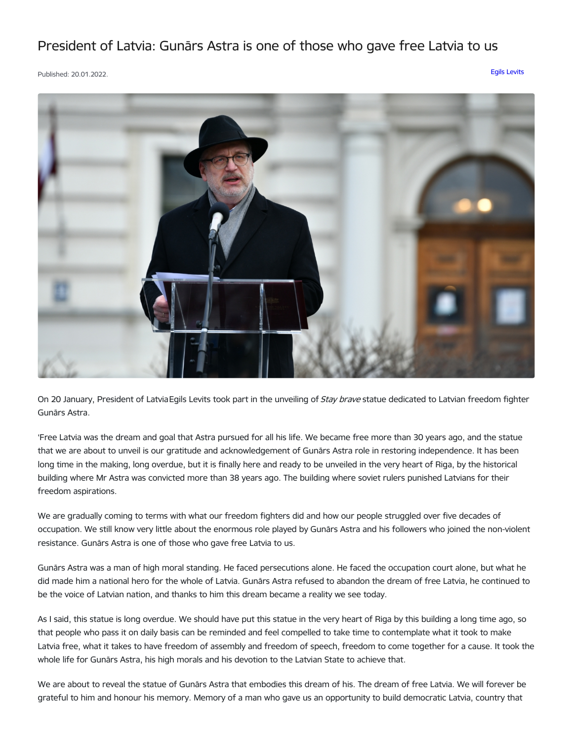## President of Latvia: Gunārs Astra is one of those who gave free Latvia to us

Published: 20.01.2022. Egils [Levits](https://www.president.lv/en/articles?category%255B276%255D=276)



On 20 January, President of Latvia Egils Levits took part in the unveiling of *Stay brave* statue dedicated to Latvian freedom fighter Gunārs Astra.

'Free Latvia was the dream and goal that Astra pursued for all his life. We became free more than 30 years ago, and the statue that we are about to unveil is our gratitude and acknowledgement of Gunārs Astra role in restoring independence. It has been long time in the making, long overdue, but it is finally here and ready to be unveiled in the very heart of Riga, by the historical building where Mr Astra was convicted more than 38 years ago. The building where soviet rulers punished Latvians for their freedom aspirations.

We are gradually coming to terms with what our freedom fighters did and how our people struggled over five decades of occupation. We still know very little about the enormous role played by Gunārs Astra and his followers who joined the non-violent resistance. Gunārs Astra is one of those who gave free Latvia to us.

Gunārs Astra was a man of high moral standing. He faced persecutions alone. He faced the occupation court alone, but what he did made him a national hero for the whole of Latvia. Gunārs Astra refused to abandon the dream of free Latvia, he continued to be the voice of Latvian nation, and thanks to him this dream became a reality we see today.

As I said, this statue is long overdue. We should have put this statue in the very heart of Riga by this building a long time ago, so that people who pass it on daily basis can be reminded and feel compelled to take time to contemplate what it took to make Latvia free, what it takes to have freedom of assembly and freedom of speech, freedom to come together for a cause. It took the whole life for Gunārs Astra, his high morals and his devotion to the Latvian State to achieve that.

We are about to reveal the statue of Gunārs Astra that embodies this dream of his. The dream of free Latvia. We will forever be grateful to him and honour his memory. Memory of a man who gave us an opportunity to build democratic Latvia, country that